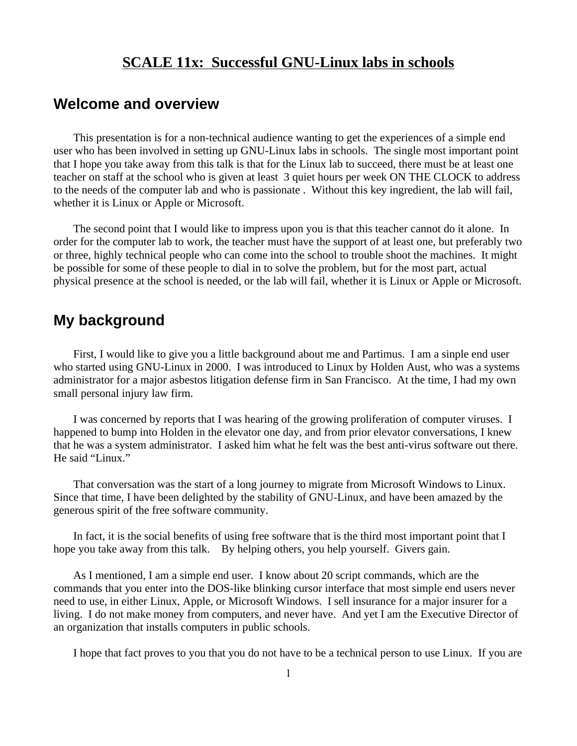### **SCALE 11x: Successful GNU-Linux labs in schools**

## **Welcome and overview**

This presentation is for a non-technical audience wanting to get the experiences of a simple end user who has been involved in setting up GNU-Linux labs in schools. The single most important point that I hope you take away from this talk is that for the Linux lab to succeed, there must be at least one teacher on staff at the school who is given at least 3 quiet hours per week ON THE CLOCK to address to the needs of the computer lab and who is passionate . Without this key ingredient, the lab will fail, whether it is Linux or Apple or Microsoft.

The second point that I would like to impress upon you is that this teacher cannot do it alone. In order for the computer lab to work, the teacher must have the support of at least one, but preferably two or three, highly technical people who can come into the school to trouble shoot the machines. It might be possible for some of these people to dial in to solve the problem, but for the most part, actual physical presence at the school is needed, or the lab will fail, whether it is Linux or Apple or Microsoft.

### **My background**

First, I would like to give you a little background about me and Partimus. I am a sinple end user who started using GNU-Linux in 2000. I was introduced to Linux by Holden Aust, who was a systems administrator for a major asbestos litigation defense firm in San Francisco. At the time, I had my own small personal injury law firm.

I was concerned by reports that I was hearing of the growing proliferation of computer viruses. I happened to bump into Holden in the elevator one day, and from prior elevator conversations, I knew that he was a system administrator. I asked him what he felt was the best anti-virus software out there. He said "Linux."

That conversation was the start of a long journey to migrate from Microsoft Windows to Linux. Since that time, I have been delighted by the stability of GNU-Linux, and have been amazed by the generous spirit of the free software community.

In fact, it is the social benefits of using free software that is the third most important point that I hope you take away from this talk. By helping others, you help yourself. Givers gain.

As I mentioned, I am a simple end user. I know about 20 script commands, which are the commands that you enter into the DOS-like blinking cursor interface that most simple end users never need to use, in either Linux, Apple, or Microsoft Windows. I sell insurance for a major insurer for a living. I do not make money from computers, and never have. And yet I am the Executive Director of an organization that installs computers in public schools.

I hope that fact proves to you that you do not have to be a technical person to use Linux. If you are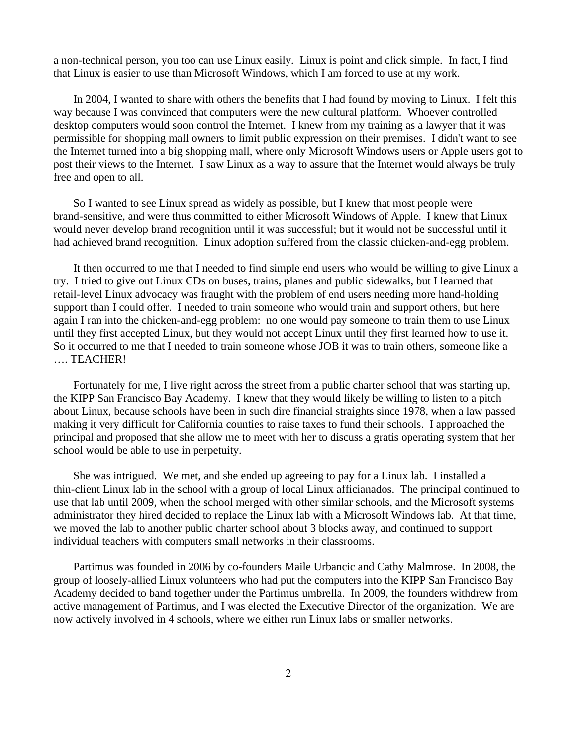a non-technical person, you too can use Linux easily. Linux is point and click simple. In fact, I find that Linux is easier to use than Microsoft Windows, which I am forced to use at my work.

In 2004, I wanted to share with others the benefits that I had found by moving to Linux. I felt this way because I was convinced that computers were the new cultural platform. Whoever controlled desktop computers would soon control the Internet. I knew from my training as a lawyer that it was permissible for shopping mall owners to limit public expression on their premises. I didn't want to see the Internet turned into a big shopping mall, where only Microsoft Windows users or Apple users got to post their views to the Internet. I saw Linux as a way to assure that the Internet would always be truly free and open to all.

So I wanted to see Linux spread as widely as possible, but I knew that most people were brand-sensitive, and were thus committed to either Microsoft Windows of Apple. I knew that Linux would never develop brand recognition until it was successful; but it would not be successful until it had achieved brand recognition. Linux adoption suffered from the classic chicken-and-egg problem.

It then occurred to me that I needed to find simple end users who would be willing to give Linux a try. I tried to give out Linux CDs on buses, trains, planes and public sidewalks, but I learned that retail-level Linux advocacy was fraught with the problem of end users needing more hand-holding support than I could offer. I needed to train someone who would train and support others, but here again I ran into the chicken-and-egg problem: no one would pay someone to train them to use Linux until they first accepted Linux, but they would not accept Linux until they first learned how to use it. So it occurred to me that I needed to train someone whose JOB it was to train others, someone like a …. TEACHER!

Fortunately for me, I live right across the street from a public charter school that was starting up, the KIPP San Francisco Bay Academy. I knew that they would likely be willing to listen to a pitch about Linux, because schools have been in such dire financial straights since 1978, when a law passed making it very difficult for California counties to raise taxes to fund their schools. I approached the principal and proposed that she allow me to meet with her to discuss a gratis operating system that her school would be able to use in perpetuity.

She was intrigued. We met, and she ended up agreeing to pay for a Linux lab. I installed a thin-client Linux lab in the school with a group of local Linux afficianados. The principal continued to use that lab until 2009, when the school merged with other similar schools, and the Microsoft systems administrator they hired decided to replace the Linux lab with a Microsoft Windows lab. At that time, we moved the lab to another public charter school about 3 blocks away, and continued to support individual teachers with computers small networks in their classrooms.

Partimus was founded in 2006 by co-founders Maile Urbancic and Cathy Malmrose. In 2008, the group of loosely-allied Linux volunteers who had put the computers into the KIPP San Francisco Bay Academy decided to band together under the Partimus umbrella. In 2009, the founders withdrew from active management of Partimus, and I was elected the Executive Director of the organization. We are now actively involved in 4 schools, where we either run Linux labs or smaller networks.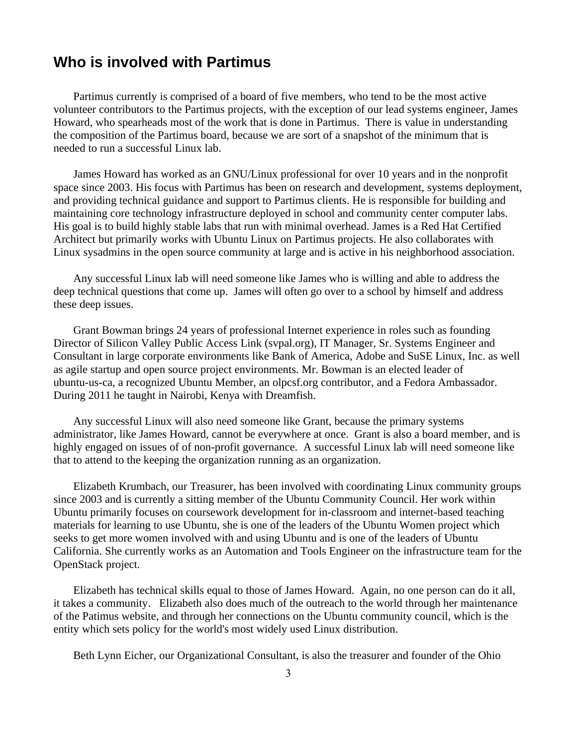## **Who is involved with Partimus**

Partimus currently is comprised of a board of five members, who tend to be the most active volunteer contributors to the Partimus projects, with the exception of our lead systems engineer, James Howard, who spearheads most of the work that is done in Partimus. There is value in understanding the composition of the Partimus board, because we are sort of a snapshot of the minimum that is needed to run a successful Linux lab.

James Howard has worked as an GNU/Linux professional for over 10 years and in the nonprofit space since 2003. His focus with Partimus has been on research and development, systems deployment, and providing technical guidance and support to Partimus clients. He is responsible for building and maintaining core technology infrastructure deployed in school and community center computer labs. His goal is to build highly stable labs that run with minimal overhead. James is a Red Hat Certified Architect but primarily works with Ubuntu Linux on Partimus projects. He also collaborates with Linux sysadmins in the open source community at large and is active in his neighborhood association.

Any successful Linux lab will need someone like James who is willing and able to address the deep technical questions that come up. James will often go over to a school by himself and address these deep issues.

Grant Bowman brings 24 years of professional Internet experience in roles such as founding Director of Silicon Valley Public Access Link (svpal.org), IT Manager, Sr. Systems Engineer and Consultant in large corporate environments like Bank of America, Adobe and SuSE Linux, Inc. as well as agile startup and open source project environments. Mr. Bowman is an elected leader of ubuntu-us-ca, a recognized Ubuntu Member, an olpcsf.org contributor, and a Fedora Ambassador. During 2011 he taught in Nairobi, Kenya with Dreamfish.

Any successful Linux will also need someone like Grant, because the primary systems administrator, like James Howard, cannot be everywhere at once. Grant is also a board member, and is highly engaged on issues of of non-profit governance. A successful Linux lab will need someone like that to attend to the keeping the organization running as an organization.

Elizabeth Krumbach, our Treasurer, has been involved with coordinating Linux community groups since 2003 and is currently a sitting member of the Ubuntu Community Council. Her work within Ubuntu primarily focuses on coursework development for in-classroom and internet-based teaching materials for learning to use Ubuntu, she is one of the leaders of the Ubuntu Women project which seeks to get more women involved with and using Ubuntu and is one of the leaders of Ubuntu California. She currently works as an Automation and Tools Engineer on the infrastructure team for the OpenStack project.

Elizabeth has technical skills equal to those of James Howard. Again, no one person can do it all, it takes a community. Elizabeth also does much of the outreach to the world through her maintenance of the Patimus website, and through her connections on the Ubuntu community council, which is the entity which sets policy for the world's most widely used Linux distribution.

Beth Lynn Eicher, our Organizational Consultant, is also the treasurer and founder of the Ohio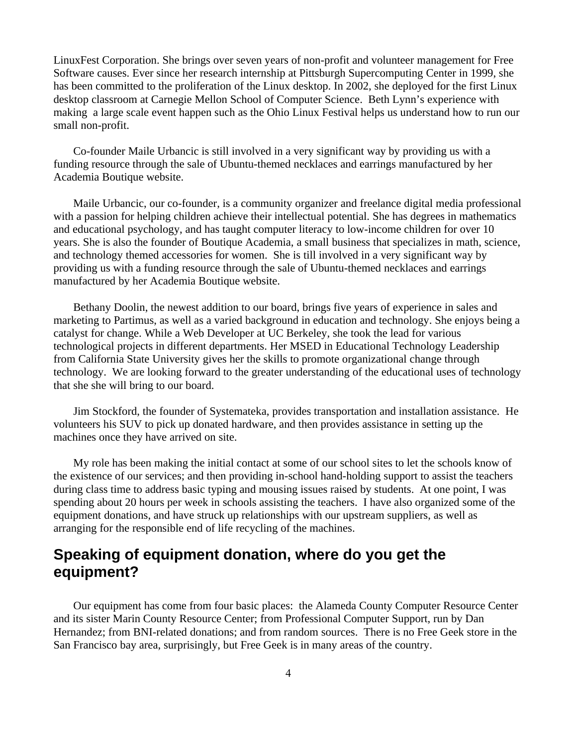LinuxFest Corporation. She brings over seven years of non-profit and volunteer management for Free Software causes. Ever since her research internship at Pittsburgh Supercomputing Center in 1999, she has been committed to the proliferation of the Linux desktop. In 2002, she deployed for the first Linux desktop classroom at Carnegie Mellon School of Computer Science. Beth Lynn's experience with making a large scale event happen such as the Ohio Linux Festival helps us understand how to run our small non-profit.

Co-founder Maile Urbancic is still involved in a very significant way by providing us with a funding resource through the sale of Ubuntu-themed necklaces and earrings manufactured by her Academia Boutique website.

Maile Urbancic, our co-founder, is a community organizer and freelance digital media professional with a passion for helping children achieve their intellectual potential. She has degrees in mathematics and educational psychology, and has taught computer literacy to low-income children for over 10 years. She is also the founder of Boutique Academia, a small business that specializes in math, science, and technology themed accessories for women. She is till involved in a very significant way by providing us with a funding resource through the sale of Ubuntu-themed necklaces and earrings manufactured by her Academia Boutique website.

Bethany Doolin, the newest addition to our board, brings five years of experience in sales and marketing to Partimus, as well as a varied background in education and technology. She enjoys being a catalyst for change. While a Web Developer at UC Berkeley, she took the lead for various technological projects in different departments. Her MSED in Educational Technology Leadership from California State University gives her the skills to promote organizational change through technology. We are looking forward to the greater understanding of the educational uses of technology that she she will bring to our board.

Jim Stockford, the founder of Systemateka, provides transportation and installation assistance. He volunteers his SUV to pick up donated hardware, and then provides assistance in setting up the machines once they have arrived on site.

My role has been making the initial contact at some of our school sites to let the schools know of the existence of our services; and then providing in-school hand-holding support to assist the teachers during class time to address basic typing and mousing issues raised by students. At one point, I was spending about 20 hours per week in schools assisting the teachers. I have also organized some of the equipment donations, and have struck up relationships with our upstream suppliers, as well as arranging for the responsible end of life recycling of the machines.

## **Speaking of equipment donation, where do you get the equipment?**

Our equipment has come from four basic places: the Alameda County Computer Resource Center and its sister Marin County Resource Center; from Professional Computer Support, run by Dan Hernandez; from BNI-related donations; and from random sources. There is no Free Geek store in the San Francisco bay area, surprisingly, but Free Geek is in many areas of the country.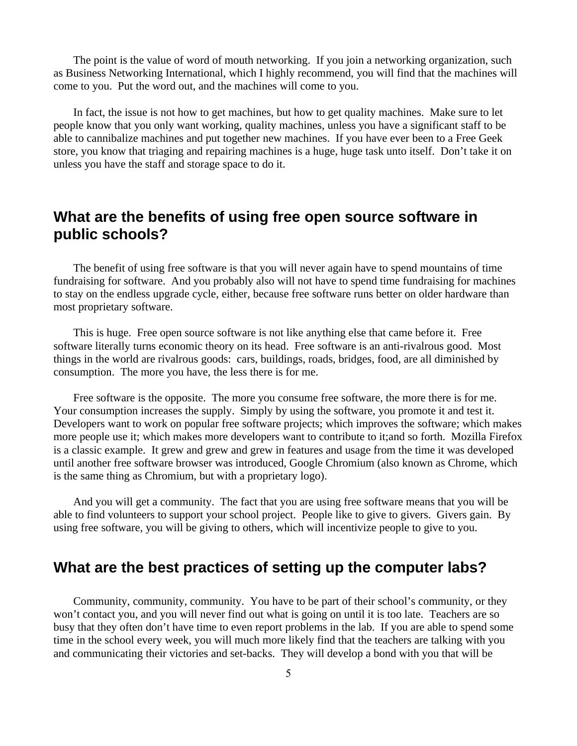The point is the value of word of mouth networking. If you join a networking organization, such as Business Networking International, which I highly recommend, you will find that the machines will come to you. Put the word out, and the machines will come to you.

In fact, the issue is not how to get machines, but how to get quality machines. Make sure to let people know that you only want working, quality machines, unless you have a significant staff to be able to cannibalize machines and put together new machines. If you have ever been to a Free Geek store, you know that triaging and repairing machines is a huge, huge task unto itself. Don't take it on unless you have the staff and storage space to do it.

# **What are the benefits of using free open source software in public schools?**

The benefit of using free software is that you will never again have to spend mountains of time fundraising for software. And you probably also will not have to spend time fundraising for machines to stay on the endless upgrade cycle, either, because free software runs better on older hardware than most proprietary software.

This is huge. Free open source software is not like anything else that came before it. Free software literally turns economic theory on its head. Free software is an anti-rivalrous good. Most things in the world are rivalrous goods: cars, buildings, roads, bridges, food, are all diminished by consumption. The more you have, the less there is for me.

Free software is the opposite. The more you consume free software, the more there is for me. Your consumption increases the supply. Simply by using the software, you promote it and test it. Developers want to work on popular free software projects; which improves the software; which makes more people use it; which makes more developers want to contribute to it;and so forth. Mozilla Firefox is a classic example. It grew and grew and grew in features and usage from the time it was developed until another free software browser was introduced, Google Chromium (also known as Chrome, which is the same thing as Chromium, but with a proprietary logo).

And you will get a community. The fact that you are using free software means that you will be able to find volunteers to support your school project. People like to give to givers. Givers gain. By using free software, you will be giving to others, which will incentivize people to give to you.

### **What are the best practices of setting up the computer labs?**

Community, community, community. You have to be part of their school's community, or they won't contact you, and you will never find out what is going on until it is too late. Teachers are so busy that they often don't have time to even report problems in the lab. If you are able to spend some time in the school every week, you will much more likely find that the teachers are talking with you and communicating their victories and set-backs. They will develop a bond with you that will be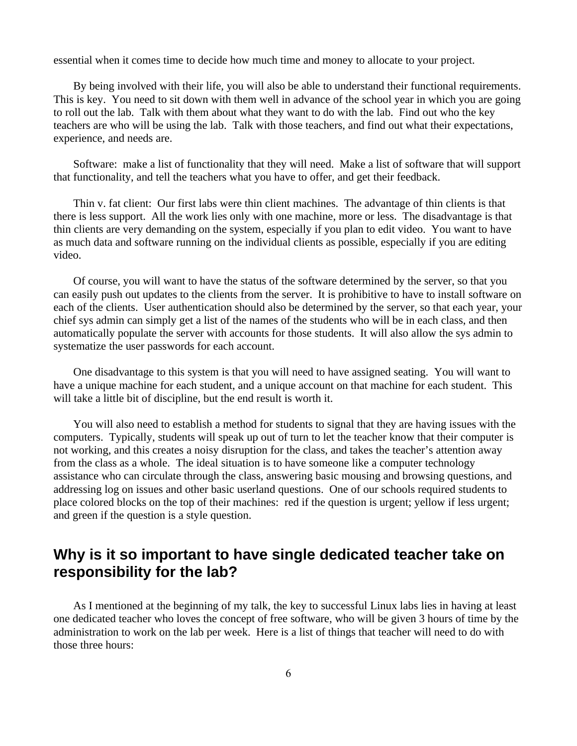essential when it comes time to decide how much time and money to allocate to your project.

By being involved with their life, you will also be able to understand their functional requirements. This is key. You need to sit down with them well in advance of the school year in which you are going to roll out the lab. Talk with them about what they want to do with the lab. Find out who the key teachers are who will be using the lab. Talk with those teachers, and find out what their expectations, experience, and needs are.

Software: make a list of functionality that they will need. Make a list of software that will support that functionality, and tell the teachers what you have to offer, and get their feedback.

Thin v. fat client: Our first labs were thin client machines. The advantage of thin clients is that there is less support. All the work lies only with one machine, more or less. The disadvantage is that thin clients are very demanding on the system, especially if you plan to edit video. You want to have as much data and software running on the individual clients as possible, especially if you are editing video.

Of course, you will want to have the status of the software determined by the server, so that you can easily push out updates to the clients from the server. It is prohibitive to have to install software on each of the clients. User authentication should also be determined by the server, so that each year, your chief sys admin can simply get a list of the names of the students who will be in each class, and then automatically populate the server with accounts for those students. It will also allow the sys admin to systematize the user passwords for each account.

One disadvantage to this system is that you will need to have assigned seating. You will want to have a unique machine for each student, and a unique account on that machine for each student. This will take a little bit of discipline, but the end result is worth it.

You will also need to establish a method for students to signal that they are having issues with the computers. Typically, students will speak up out of turn to let the teacher know that their computer is not working, and this creates a noisy disruption for the class, and takes the teacher's attention away from the class as a whole. The ideal situation is to have someone like a computer technology assistance who can circulate through the class, answering basic mousing and browsing questions, and addressing log on issues and other basic userland questions. One of our schools required students to place colored blocks on the top of their machines: red if the question is urgent; yellow if less urgent; and green if the question is a style question.

## **Why is it so important to have single dedicated teacher take on responsibility for the lab?**

As I mentioned at the beginning of my talk, the key to successful Linux labs lies in having at least one dedicated teacher who loves the concept of free software, who will be given 3 hours of time by the administration to work on the lab per week. Here is a list of things that teacher will need to do with those three hours: